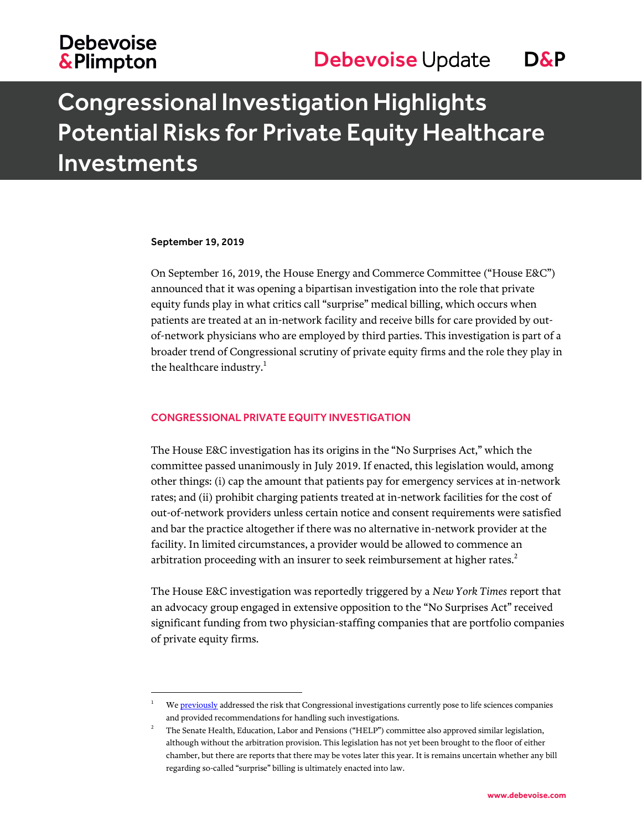# **Debevoise &Plimpton**

# Congressional Investigation Highlights Potential Risks for Private Equity Healthcare Investments

#### September 19, 2019

l

On September 16, 2019, the House Energy and Commerce Committee ("House E&C") announced that it was opening a bipartisan investigation into the role that private equity funds play in what critics call "surprise" medical billing, which occurs when patients are treated at an in-network facility and receive bills for care provided by outof-network physicians who are employed by third parties. This investigation is part of a broader trend of Congressional scrutiny of private equity firms and the role they play in the healthcare industry. $<sup>1</sup>$ </sup>

### CONGRESSIONAL PRIVATE EQUITY INVESTIGATION

The House E&C investigation has its origins in the "No Surprises Act," which the committee passed unanimously in July 2019. If enacted, this legislation would, among other things: (i) cap the amount that patients pay for emergency services at in-network rates; and (ii) prohibit charging patients treated at in-network facilities for the cost of out-of-network providers unless certain notice and consent requirements were satisfied and bar the practice altogether if there was no alternative in-network provider at the facility. In limited circumstances, a provider would be allowed to commence an arbitration proceeding with an insurer to seek reimbursement at higher rates.<sup>2</sup>

The House E&C investigation was reportedly triggered by a *New York Times* report that an advocacy group engaged in extensive opposition to the "No Surprises Act" received significant funding from two physician-staffing companies that are portfolio companies of private equity firms.

W[e previously](https://www.debevoise.com/insights/publications/2018/11/new-congress-brings-heightened-risk) addressed the risk that Congressional investigations currently pose to life sciences companies and provided recommendations for handling such investigations.

<sup>2</sup> The Senate Health, Education, Labor and Pensions ("HELP") committee also approved similar legislation, although without the arbitration provision. This legislation has not yet been brought to the floor of either chamber, but there are reports that there may be votes later this year. It is remains uncertain whether any bill regarding so-called "surprise" billing is ultimately enacted into law.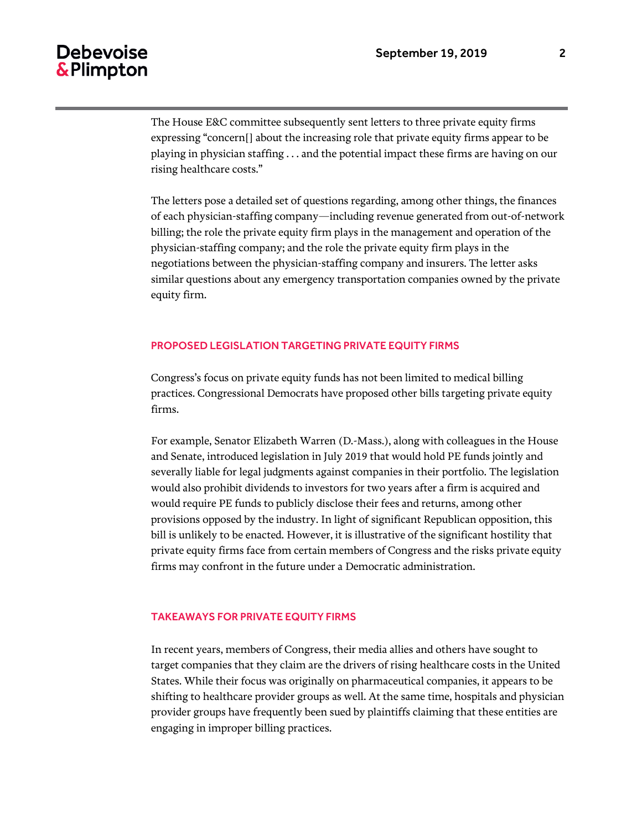## Debevoise & Plimpton

The House E&C committee subsequently sent letters to three private equity firms expressing "concern[] about the increasing role that private equity firms appear to be playing in physician staffing . . . and the potential impact these firms are having on our rising healthcare costs."

The letters pose a detailed set of questions regarding, among other things, the finances of each physician-staffing company—including revenue generated from out-of-network billing; the role the private equity firm plays in the management and operation of the physician-staffing company; and the role the private equity firm plays in the negotiations between the physician-staffing company and insurers. The letter asks similar questions about any emergency transportation companies owned by the private equity firm.

## PROPOSED LEGISLATION TARGETING PRIVATE EQUITY FIRMS

Congress's focus on private equity funds has not been limited to medical billing practices. Congressional Democrats have proposed other bills targeting private equity firms.

For example, Senator Elizabeth Warren (D.-Mass.), along with colleagues in the House and Senate, introduced legislation in July 2019 that would hold PE funds jointly and severally liable for legal judgments against companies in their portfolio. The legislation would also prohibit dividends to investors for two years after a firm is acquired and would require PE funds to publicly disclose their fees and returns, among other provisions opposed by the industry. In light of significant Republican opposition, this bill is unlikely to be enacted. However, it is illustrative of the significant hostility that private equity firms face from certain members of Congress and the risks private equity firms may confront in the future under a Democratic administration.

### TAKEAWAYS FOR PRIVATE EQUITY FIRMS

In recent years, members of Congress, their media allies and others have sought to target companies that they claim are the drivers of rising healthcare costs in the United States. While their focus was originally on pharmaceutical companies, it appears to be shifting to healthcare provider groups as well. At the same time, hospitals and physician provider groups have frequently been sued by plaintiffs claiming that these entities are engaging in improper billing practices.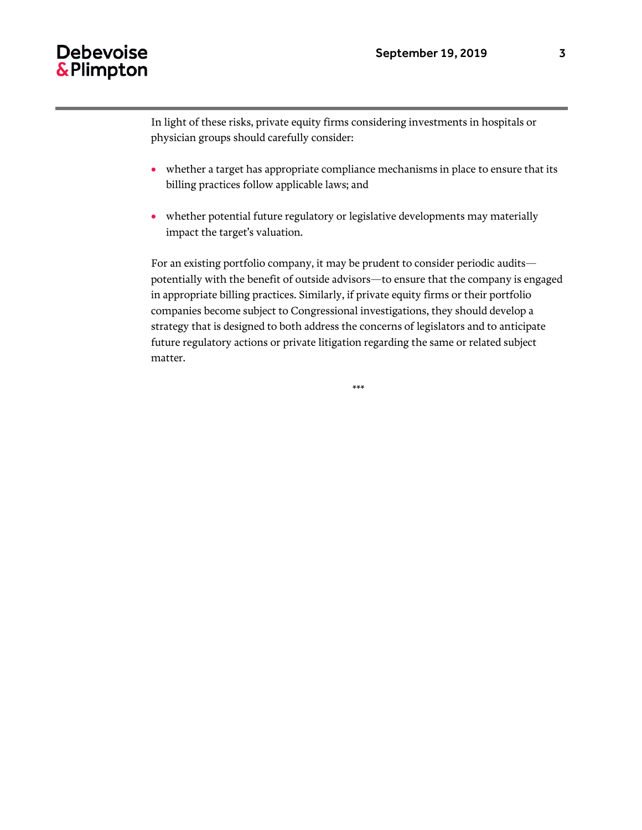## **Debevoise** & Plimpton

In light of these risks, private equity firms considering investments in hospitals or physician groups should carefully consider:

- whether a target has appropriate compliance mechanisms in place to ensure that its billing practices follow applicable laws; and
- whether potential future regulatory or legislative developments may materially impact the target's valuation.

For an existing portfolio company, it may be prudent to consider periodic audits potentially with the benefit of outside advisors—to ensure that the company is engaged in appropriate billing practices. Similarly, if private equity firms or their portfolio companies become subject to Congressional investigations, they should develop a strategy that is designed to both address the concerns of legislators and to anticipate future regulatory actions or private litigation regarding the same or related subject matter.

\*\*\*